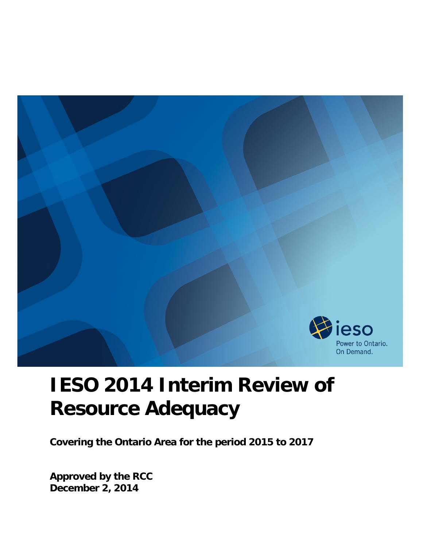

# **IESO 2014 Interim Review of Resource Adequacy**

**Covering the Ontario Area for the period 2015 to 2017**

**Approved by the RCC December 2, 2014**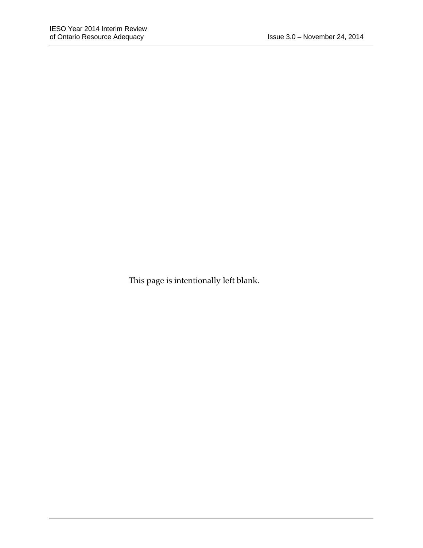This page is intentionally left blank.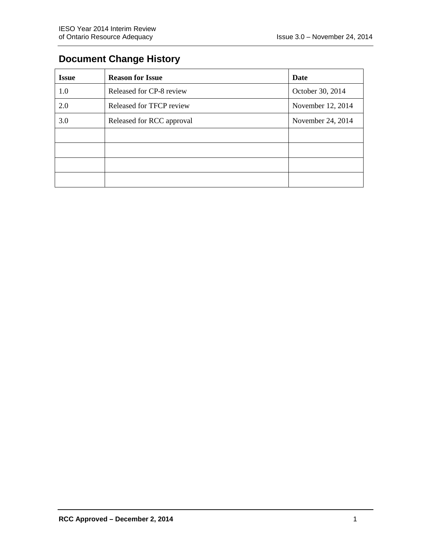### **Document Change History**

| <b>Issue</b> | <b>Reason for Issue</b>   | Date              |
|--------------|---------------------------|-------------------|
| 1.0          | Released for CP-8 review  | October 30, 2014  |
| 2.0          | Released for TFCP review  | November 12, 2014 |
| 3.0          | Released for RCC approval | November 24, 2014 |
|              |                           |                   |
|              |                           |                   |
|              |                           |                   |
|              |                           |                   |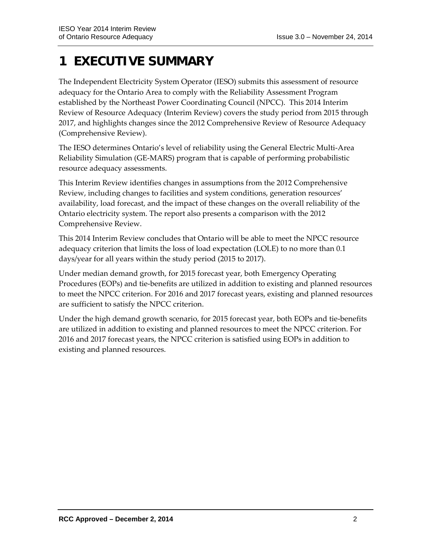## **1 EXECUTIVE SUMMARY**

The Independent Electricity System Operator (IESO) submits this assessment of resource adequacy for the Ontario Area to comply with the Reliability Assessment Program established by the Northeast Power Coordinating Council (NPCC). This 2014 Interim Review of Resource Adequacy (Interim Review) covers the study period from 2015 through 2017, and highlights changes since the 2012 Comprehensive Review of Resource Adequacy (Comprehensive Review).

The IESO determines Ontario's level of reliability using the General Electric Multi-Area Reliability Simulation (GE-MARS) program that is capable of performing probabilistic resource adequacy assessments.

This Interim Review identifies changes in assumptions from the 2012 Comprehensive Review, including changes to facilities and system conditions, generation resources' availability, load forecast, and the impact of these changes on the overall reliability of the Ontario electricity system. The report also presents a comparison with the 2012 Comprehensive Review.

This 2014 Interim Review concludes that Ontario will be able to meet the NPCC resource adequacy criterion that limits the loss of load expectation (LOLE) to no more than 0.1 days/year for all years within the study period (2015 to 2017).

Under median demand growth, for 2015 forecast year, both Emergency Operating Procedures (EOPs) and tie-benefits are utilized in addition to existing and planned resources to meet the NPCC criterion. For 2016 and 2017 forecast years, existing and planned resources are sufficient to satisfy the NPCC criterion.

Under the high demand growth scenario, for 2015 forecast year, both EOPs and tie-benefits are utilized in addition to existing and planned resources to meet the NPCC criterion. For 2016 and 2017 forecast years, the NPCC criterion is satisfied using EOPs in addition to existing and planned resources.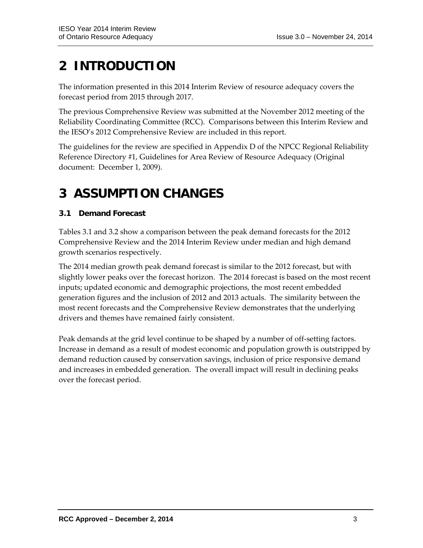# **2 INTRODUCTION**

The information presented in this 2014 Interim Review of resource adequacy covers the forecast period from 2015 through 2017.

The previous Comprehensive Review was submitted at the November 2012 meeting of the Reliability Coordinating Committee (RCC). Comparisons between this Interim Review and the IESO's 2012 Comprehensive Review are included in this report.

The guidelines for the review are specified in Appendix D of the NPCC Regional Reliability Reference Directory #1, Guidelines for Area Review of Resource Adequacy (Original document: December 1, 2009).

# **3 ASSUMPTION CHANGES**

#### **3.1 Demand Forecast**

Tables 3.1 and 3.2 show a comparison between the peak demand forecasts for the 2012 Comprehensive Review and the 2014 Interim Review under median and high demand growth scenarios respectively.

The 2014 median growth peak demand forecast is similar to the 2012 forecast, but with slightly lower peaks over the forecast horizon. The 2014 forecast is based on the most recent inputs; updated economic and demographic projections, the most recent embedded generation figures and the inclusion of 2012 and 2013 actuals. The similarity between the most recent forecasts and the Comprehensive Review demonstrates that the underlying drivers and themes have remained fairly consistent.

Peak demands at the grid level continue to be shaped by a number of off-setting factors. Increase in demand as a result of modest economic and population growth is outstripped by demand reduction caused by conservation savings, inclusion of price responsive demand and increases in embedded generation. The overall impact will result in declining peaks over the forecast period.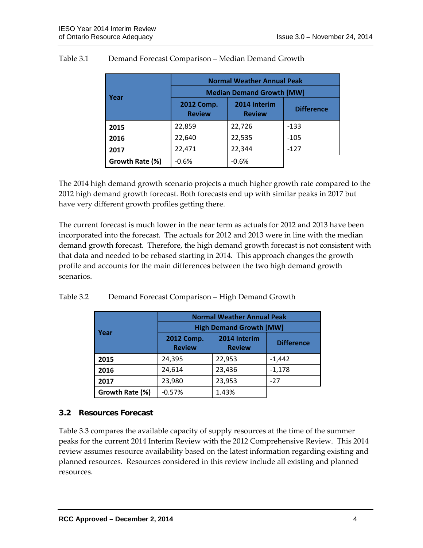|                 | <b>Normal Weather Annual Peak</b> |                                  |                   |  |  |  |
|-----------------|-----------------------------------|----------------------------------|-------------------|--|--|--|
| Year            |                                   | <b>Median Demand Growth [MW]</b> |                   |  |  |  |
|                 | 2012 Comp.<br><b>Review</b>       | 2014 Interim<br><b>Review</b>    | <b>Difference</b> |  |  |  |
| 2015            | 22,859                            | 22,726                           | $-133$            |  |  |  |
| 2016            | 22,640                            | 22,535                           | $-105$            |  |  |  |
| 2017            | 22,471                            | 22,344                           | $-127$            |  |  |  |
| Growth Rate (%) | $-0.6%$                           | $-0.6%$                          |                   |  |  |  |

#### Table 3.1 Demand Forecast Comparison – Median Demand Growth

The 2014 high demand growth scenario projects a much higher growth rate compared to the 2012 high demand growth forecast. Both forecasts end up with similar peaks in 2017 but have very different growth profiles getting there.

The current forecast is much lower in the near term as actuals for 2012 and 2013 have been incorporated into the forecast. The actuals for 2012 and 2013 were in line with the median demand growth forecast. Therefore, the high demand growth forecast is not consistent with that data and needed to be rebased starting in 2014. This approach changes the growth profile and accounts for the main differences between the two high demand growth scenarios.

| Table 3.2 | Demand Forecast Comparison – High Demand Growth |
|-----------|-------------------------------------------------|
|           |                                                 |

|                 | <b>Normal Weather Annual Peak</b> |                               |                   |  |  |  |
|-----------------|-----------------------------------|-------------------------------|-------------------|--|--|--|
|                 | <b>High Demand Growth [MW]</b>    |                               |                   |  |  |  |
| Year            | 2012 Comp.<br><b>Review</b>       | 2014 Interim<br><b>Review</b> | <b>Difference</b> |  |  |  |
| 2015            | 24,395                            | 22,953                        | $-1,442$          |  |  |  |
| 2016            | 24,614                            | 23,436                        | $-1,178$          |  |  |  |
| 2017            | 23,980                            | 23,953                        | $-27$             |  |  |  |
| Growth Rate (%) | $-0.57%$                          | 1.43%                         |                   |  |  |  |

#### **3.2 Resources Forecast**

Table 3.3 compares the available capacity of supply resources at the time of the summer peaks for the current 2014 Interim Review with the 2012 Comprehensive Review. This 2014 review assumes resource availability based on the latest information regarding existing and planned resources. Resources considered in this review include all existing and planned resources.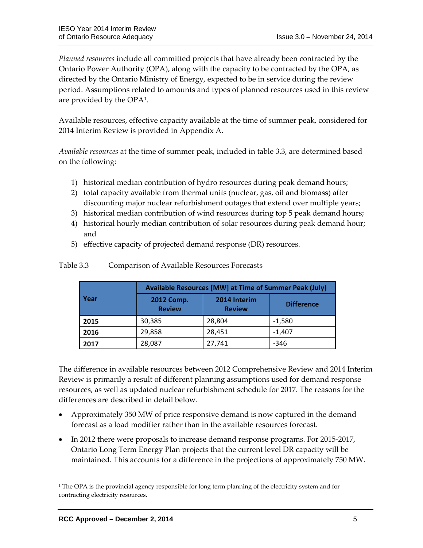*Planned resources* include all committed projects that have already been contracted by the Ontario Power Authority (OPA), along with the capacity to be contracted by the OPA, as directed by the Ontario Ministry of Energy, expected to be in service during the review period. Assumptions related to amounts and types of planned resources used in this review are provided by the OPA[1](#page-6-0).

Available resources, effective capacity available at the time of summer peak, considered for 2014 Interim Review is provided in Appendix A.

*Available resources* at the time of summer peak, included in table 3.3, are determined based on the following:

- 1) historical median contribution of hydro resources during peak demand hours;
- 2) total capacity available from thermal units (nuclear, gas, oil and biomass) after discounting major nuclear refurbishment outages that extend over multiple years;
- 3) historical median contribution of wind resources during top 5 peak demand hours;
- 4) historical hourly median contribution of solar resources during peak demand hour; and
- 5) effective capacity of projected demand response (DR) resources.

|      | Available Resources [MW] at Time of Summer Peak (July) |                               |                   |  |  |  |
|------|--------------------------------------------------------|-------------------------------|-------------------|--|--|--|
| Year | 2012 Comp.<br><b>Review</b>                            | 2014 Interim<br><b>Review</b> | <b>Difference</b> |  |  |  |
| 2015 | 30,385                                                 | 28,804                        | $-1,580$          |  |  |  |
| 2016 | 29,858                                                 | 28,451                        | $-1,407$          |  |  |  |
| 2017 | 28,087                                                 | 27,741                        | $-346$            |  |  |  |

Table 3.3 Comparison of Available Resources Forecasts

The difference in available resources between 2012 Comprehensive Review and 2014 Interim Review is primarily a result of different planning assumptions used for demand response resources, as well as updated nuclear refurbishment schedule for 2017. The reasons for the differences are described in detail below.

- Approximately 350 MW of price responsive demand is now captured in the demand forecast as a load modifier rather than in the available resources forecast.
- In 2012 there were proposals to increase demand response programs. For 2015-2017, Ontario Long Term Energy Plan projects that the current level DR capacity will be maintained. This accounts for a difference in the projections of approximately 750 MW.

-

<span id="page-6-0"></span><sup>&</sup>lt;sup>1</sup> The OPA is the provincial agency responsible for long term planning of the electricity system and for contracting electricity resources.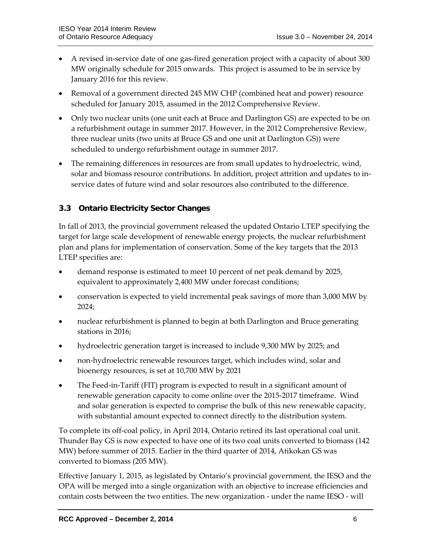- A revised in-service date of one gas-fired generation project with a capacity of about 300 MW originally schedule for 2015 onwards. This project is assumed to be in service by January 2016 for this review.
- Removal of a government directed 245 MW CHP (combined heat and power) resource scheduled for January 2015, assumed in the 2012 Comprehensive Review.
- Only two nuclear units (one unit each at Bruce and Darlington GS) are expected to be on a refurbishment outage in summer 2017. However, in the 2012 Comprehensive Review, three nuclear units (two units at Bruce GS and one unit at Darlington GS)) were scheduled to undergo refurbishment outage in summer 2017.
- The remaining differences in resources are from small updates to hydroelectric, wind, solar and biomass resource contributions. In addition, project attrition and updates to inservice dates of future wind and solar resources also contributed to the difference.

#### **3.3 Ontario Electricity Sector Changes**

In fall of 2013, the provincial government released the updated Ontario LTEP specifying the target for large scale development of renewable energy projects, the nuclear refurbishment plan and plans for implementation of conservation. Some of the key targets that the 2013 LTEP specifies are:

- demand response is estimated to meet 10 percent of net peak demand by 2025, equivalent to approximately 2,400 MW under forecast conditions;
- conservation is expected to yield incremental peak savings of more than 3,000 MW by 2024;
- nuclear refurbishment is planned to begin at both Darlington and Bruce generating stations in 2016;
- hydroelectric generation target is increased to include 9,300 MW by 2025; and
- non-hydroelectric renewable resources target, which includes wind, solar and bioenergy resources, is set at 10,700 MW by 2021
- The Feed-in-Tariff (FIT) program is expected to result in a significant amount of renewable generation capacity to come online over the 2015-2017 timeframe. Wind and solar generation is expected to comprise the bulk of this new renewable capacity, with substantial amount expected to connect directly to the distribution system.

To complete its off-coal policy, in April 2014, Ontario retired its last operational coal unit. Thunder Bay GS is now expected to have one of its two coal units converted to biomass (142 MW) before summer of 2015. Earlier in the third quarter of 2014, Atikokan GS was converted to biomass (205 MW).

Effective January 1, 2015, as legislated by Ontario's provincial government, the IESO and the OPA will be merged into a single organization with an objective to increase efficiencies and contain costs between the two entities. The new organization - under the name IESO - will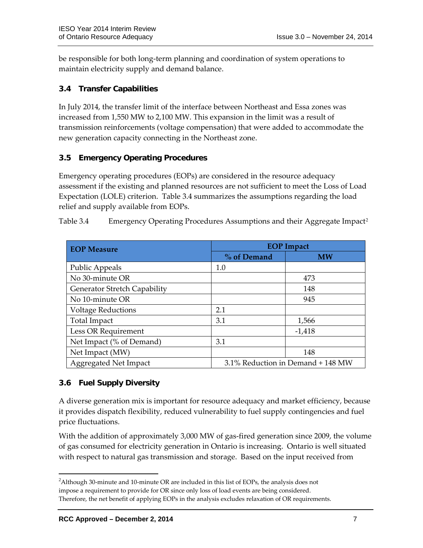be responsible for both long-term planning and coordination of system operations to maintain electricity supply and demand balance.

#### **3.4 Transfer Capabilities**

In July 2014, the transfer limit of the interface between Northeast and Essa zones was increased from 1,550 MW to 2,100 MW. This expansion in the limit was a result of transmission reinforcements (voltage compensation) that were added to accommodate the new generation capacity connecting in the Northeast zone.

#### **3.5 Emergency Operating Procedures**

Emergency operating procedures (EOPs) are considered in the resource adequacy assessment if the existing and planned resources are not sufficient to meet the Loss of Load Expectation (LOLE) criterion. Table 3.4 summarizes the assumptions regarding the load relief and supply available from EOPs.

| <b>EOP Measure</b>                  | <b>EOP</b> Impact                 |                        |  |  |
|-------------------------------------|-----------------------------------|------------------------|--|--|
|                                     | % of Demand                       | $\mathbf{M}\mathbf{W}$ |  |  |
| <b>Public Appeals</b>               | 1.0                               |                        |  |  |
| No 30-minute OR                     |                                   | 473                    |  |  |
| <b>Generator Stretch Capability</b> |                                   | 148                    |  |  |
| No 10-minute OR                     |                                   | 945                    |  |  |
| <b>Voltage Reductions</b>           | 2.1                               |                        |  |  |
| <b>Total Impact</b>                 | 3.1                               | 1,566                  |  |  |
| Less OR Requirement                 |                                   | $-1,418$               |  |  |
| Net Impact (% of Demand)            | 3.1                               |                        |  |  |
| Net Impact (MW)                     |                                   | 148                    |  |  |
| Aggregated Net Impact               | 3.1% Reduction in Demand + 148 MW |                        |  |  |

Table 3.4 Emergency Operating Procedures Assumptions and their Aggregate Impact<sup>[2](#page-8-0)</sup>

#### **3.6 Fuel Supply Diversity**

A diverse generation mix is important for resource adequacy and market efficiency, because it provides dispatch flexibility, reduced vulnerability to fuel supply contingencies and fuel price fluctuations.

With the addition of approximately 3,000 MW of gas-fired generation since 2009, the volume of gas consumed for electricity generation in Ontario is increasing. Ontario is well situated with respect to natural gas transmission and storage. Based on the input received from

<span id="page-8-0"></span> $\frac{1}{2}$ <sup>2</sup>Although 30-minute and 10-minute OR are included in this list of EOPs, the analysis does not impose a requirement to provide for OR since only loss of load events are being considered. Therefore, the net benefit of applying EOPs in the analysis excludes relaxation of OR requirements.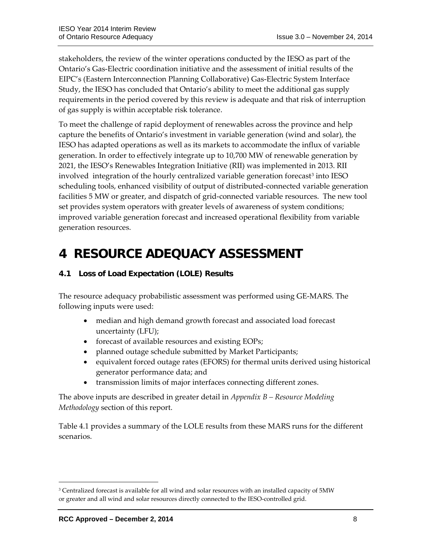stakeholders, the review of the winter operations conducted by the IESO as part of the Ontario's Gas-Electric coordination initiative and the assessment of initial results of the EIPC's (Eastern Interconnection Planning Collaborative) Gas-Electric System Interface Study, the IESO has concluded that Ontario's ability to meet the additional gas supply requirements in the period covered by this review is adequate and that risk of interruption of gas supply is within acceptable risk tolerance.

To meet the challenge of rapid deployment of renewables across the province and help capture the benefits of Ontario's investment in variable generation (wind and solar), the IESO has adapted operations as well as its markets to accommodate the influx of variable generation. In order to effectively integrate up to 10,700 MW of renewable generation by 2021, the IESO's Renewables Integration Initiative (RII) was implemented in 2013. RII involved integration of the hourly centralized variable generation forecast<sup>[3](#page-9-0)</sup> into IESO scheduling tools, enhanced visibility of output of distributed-connected variable generation facilities 5 MW or greater, and dispatch of grid-connected variable resources. The new tool set provides system operators with greater levels of awareness of system conditions; improved variable generation forecast and increased operational flexibility from variable generation resources.

### **4 RESOURCE ADEQUACY ASSESSMENT**

#### **4.1 Loss of Load Expectation (LOLE) Results**

The resource adequacy probabilistic assessment was performed using GE-MARS. The following inputs were used:

- median and high demand growth forecast and associated load forecast uncertainty (LFU);
- forecast of available resources and existing EOPs;
- planned outage schedule submitted by Market Participants;
- equivalent forced outage rates (EFORS) for thermal units derived using historical generator performance data; and
- transmission limits of major interfaces connecting different zones.

The above inputs are described in greater detail in *Appendix B – Resource Modeling Methodology* section of this report.

Table 4.1 provides a summary of the LOLE results from these MARS runs for the different scenarios.

-

<span id="page-9-0"></span><sup>3</sup> Centralized forecast is available for all wind and solar resources with an installed capacity of 5MW or greater and all wind and solar resources directly connected to the IESO-controlled grid.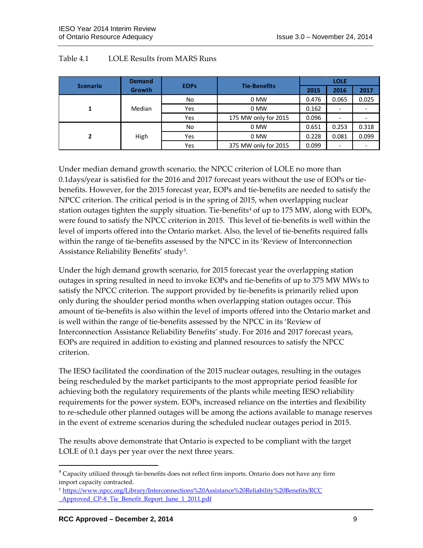|                 | <b>Demand</b> |             | <b>Tie-Benefits</b>  | <b>LOLE</b> |                          |       |
|-----------------|---------------|-------------|----------------------|-------------|--------------------------|-------|
| <b>Scenario</b> | Growth        | <b>EOPS</b> |                      | 2015        | 2016                     | 2017  |
|                 |               | <b>No</b>   | 0 MW                 | 0.476       | 0.065                    | 0.025 |
|                 | Median        | Yes         | 0 MW                 | 0.162       | $\overline{\phantom{a}}$ |       |
|                 |               | Yes         | 175 MW only for 2015 | 0.096       | $\overline{\phantom{a}}$ |       |
| າ               | High          | <b>No</b>   | 0 MW                 | 0.651       | 0.253                    | 0.318 |
|                 |               | Yes         | 0 MW                 | 0.228       | 0.081                    | 0.099 |
|                 |               | Yes         | 375 MW only for 2015 | 0.099       | $\overline{\phantom{a}}$ |       |

#### Table 4.1 LOLE Results from MARS Runs

Under median demand growth scenario, the NPCC criterion of LOLE no more than 0.1days/year is satisfied for the 2016 and 2017 forecast years without the use of EOPs or tiebenefits. However, for the 2015 forecast year, EOPs and tie-benefits are needed to satisfy the NPCC criterion. The critical period is in the spring of 2015, when overlapping nuclear station outages tighten the supply situation. Tie-benefits<sup>[4](#page-10-0)</sup> of up to 175 MW, along with EOPs, were found to satisfy the NPCC criterion in 2015. This level of tie-benefits is well within the level of imports offered into the Ontario market. Also, the level of tie-benefits required falls within the range of tie-benefits assessed by the NPCC in its 'Review of Interconnection Assistance Reliability Benefits' study<sup>[5](#page-10-1)</sup>.

Under the high demand growth scenario, for 2015 forecast year the overlapping station outages in spring resulted in need to invoke EOPs and tie-benefits of up to 375 MW MWs to satisfy the NPCC criterion. The support provided by tie-benefits is primarily relied upon only during the shoulder period months when overlapping station outages occur. This amount of tie-benefits is also within the level of imports offered into the Ontario market and is well within the range of tie-benefits assessed by the NPCC in its 'Review of Interconnection Assistance Reliability Benefits' study. For 2016 and 2017 forecast years, EOPs are required in addition to existing and planned resources to satisfy the NPCC criterion.

The IESO facilitated the coordination of the 2015 nuclear outages, resulting in the outages being rescheduled by the market participants to the most appropriate period feasible for achieving both the regulatory requirements of the plants while meeting IESO reliability requirements for the power system. EOPs, increased reliance on the interties and flexibility to re-schedule other planned outages will be among the actions available to manage reserves in the event of extreme scenarios during the scheduled nuclear outages period in 2015.

The results above demonstrate that Ontario is expected to be compliant with the target LOLE of 0.1 days per year over the next three years.

<span id="page-10-0"></span> $4$  Capacity utilized through tie-benefits does not reflect firm imports. Ontario does not have any firm import capacity contracted.

<span id="page-10-1"></span><sup>5</sup> <https://www.npcc.org/Library/Interconnections%20Assistance%20Reliability%20Benefits/RCC> [\\_Approved\\_CP-8\\_Tie\\_Benefit\\_Report\\_June\\_1\\_2011.pdf](https://www.npcc.org/Library/Interconnections%20Assistance%20Reliability%20Benefits/RCC)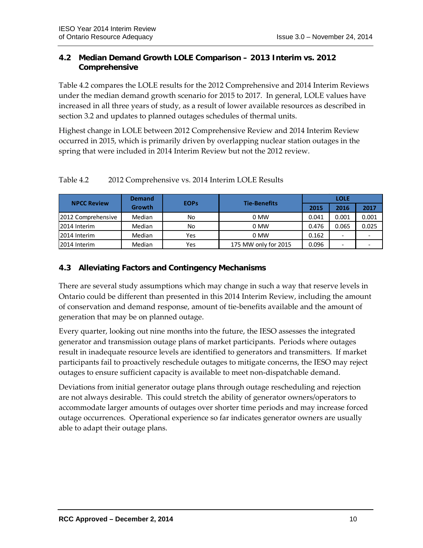#### **4.2 Median Demand Growth LOLE Comparison – 2013 Interim vs. 2012 Comprehensive**

Table 4.2 compares the LOLE results for the 2012 Comprehensive and 2014 Interim Reviews under the median demand growth scenario for 2015 to 2017. In general, LOLE values have increased in all three years of study, as a result of lower available resources as described in section 3.2 and updates to planned outages schedules of thermal units.

Highest change in LOLE between 2012 Comprehensive Review and 2014 Interim Review occurred in 2015, which is primarily driven by overlapping nuclear station outages in the spring that were included in 2014 Interim Review but not the 2012 review.

| <b>NPCC Review</b> | <b>Demand</b> | <b>EOPS</b> | <b>Tie-Benefits</b>  | <b>LOLE</b> |       |       |
|--------------------|---------------|-------------|----------------------|-------------|-------|-------|
|                    | <b>Growth</b> |             |                      | 2015        | 2016  | 2017  |
| 2012 Comprehensive | Median        | <b>No</b>   | 0 MW                 | 0.041       | 0.001 | 0.001 |
| 2014 Interim       | Median        | <b>No</b>   | 0 MW                 | 0.476       | 0.065 | 0.025 |
| 2014 Interim       | Median        | Yes         | 0 MW                 | 0.162       | ۰     |       |
| 2014 Interim       | Median        | Yes         | 175 MW only for 2015 | 0.096       |       |       |

#### Table 4.2 2012 Comprehensive vs. 2014 Interim LOLE Results

#### **4.3 Alleviating Factors and Contingency Mechanisms**

There are several study assumptions which may change in such a way that reserve levels in Ontario could be different than presented in this 2014 Interim Review, including the amount of conservation and demand response, amount of tie-benefits available and the amount of generation that may be on planned outage.

Every quarter, looking out nine months into the future, the IESO assesses the integrated generator and transmission outage plans of market participants. Periods where outages result in inadequate resource levels are identified to generators and transmitters. If market participants fail to proactively reschedule outages to mitigate concerns, the IESO may reject outages to ensure sufficient capacity is available to meet non-dispatchable demand.

Deviations from initial generator outage plans through outage rescheduling and rejection are not always desirable. This could stretch the ability of generator owners/operators to accommodate larger amounts of outages over shorter time periods and may increase forced outage occurrences. Operational experience so far indicates generator owners are usually able to adapt their outage plans.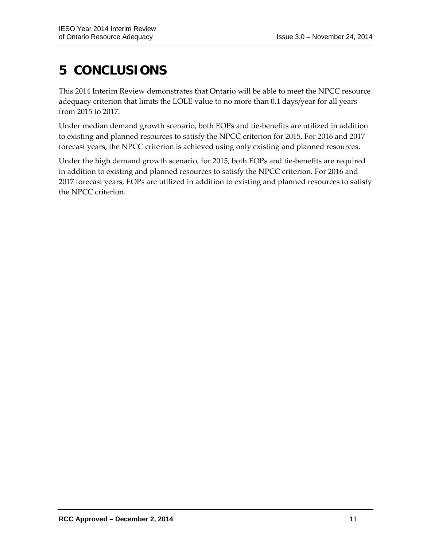# **5 CONCLUSIONS**

This 2014 Interim Review demonstrates that Ontario will be able to meet the NPCC resource adequacy criterion that limits the LOLE value to no more than 0.1 days/year for all years from 2015 to 2017.

Under median demand growth scenario, both EOPs and tie-benefits are utilized in addition to existing and planned resources to satisfy the NPCC criterion for 2015. For 2016 and 2017 forecast years, the NPCC criterion is achieved using only existing and planned resources.

Under the high demand growth scenario, for 2015, both EOPs and tie-benefits are required in addition to existing and planned resources to satisfy the NPCC criterion. For 2016 and 2017 forecast years, EOPs are utilized in addition to existing and planned resources to satisfy the NPCC criterion.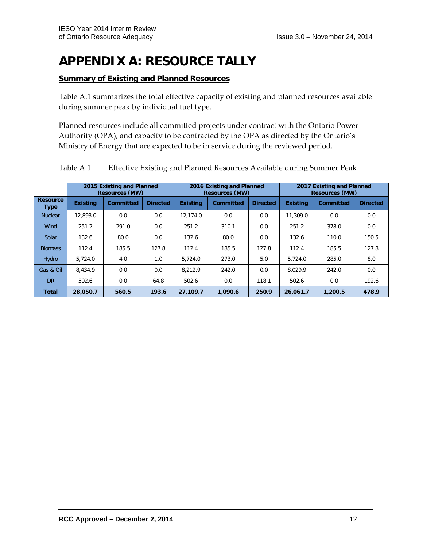### **APPENDIX A: RESOURCE TALLY**

#### **Summary of Existing and Planned Resources**

Table A.1 summarizes the total effective capacity of existing and planned resources available during summer peak by individual fuel type.

Planned resources include all committed projects under contract with the Ontario Power Authority (OPA), and capacity to be contracted by the OPA as directed by the Ontario's Ministry of Energy that are expected to be in service during the reviewed period.

Table A.1 Effective Existing and Planned Resources Available during Summer Peak

|                                |                 | 2015 Existing and Planned<br><b>Resources (MW)</b> |                 | 2016 Existing and Planned<br><b>Resources (MW)</b> |           | 2017 Existing and Planned<br><b>Resources (MW)</b> |                 |           |                 |
|--------------------------------|-----------------|----------------------------------------------------|-----------------|----------------------------------------------------|-----------|----------------------------------------------------|-----------------|-----------|-----------------|
| <b>Resource</b><br><b>Type</b> | <b>Existing</b> | Committed                                          | <b>Directed</b> | <b>Existing</b>                                    | Committed | <b>Directed</b>                                    | <b>Existing</b> | Committed | <b>Directed</b> |
| <b>Nuclear</b>                 | 12,893.0        | 0.0                                                | 0.0             | 12.174.0                                           | 0.0       | 0.0                                                | 11,309.0        | 0.0       | 0.0             |
| Wind                           | 251.2           | 291.0                                              | 0.0             | 251.2                                              | 310.1     | 0.0                                                | 251.2           | 378.0     | 0.0             |
| Solar                          | 132.6           | 80.0                                               | 0.0             | 132.6                                              | 80.0      | 0.0                                                | 132.6           | 110.0     | 150.5           |
| <b>Biomass</b>                 | 112.4           | 185.5                                              | 127.8           | 112.4                                              | 185.5     | 127.8                                              | 112.4           | 185.5     | 127.8           |
| Hydro                          | 5,724.0         | 4.0                                                | 1.0             | 5.724.0                                            | 273.0     | 5.0                                                | 5.724.0         | 285.0     | 8.0             |
| Gas & Oil                      | 8.434.9         | 0.0                                                | 0.0             | 8.212.9                                            | 242.0     | 0.0                                                | 8.029.9         | 242.0     | 0.0             |
| <b>DR</b>                      | 502.6           | 0.0                                                | 64.8            | 502.6                                              | 0.0       | 118.1                                              | 502.6           | 0.0       | 192.6           |
| <b>Total</b>                   | 28.050.7        | 560.5                                              | 193.6           | 27.109.7                                           | 1.090.6   | 250.9                                              | 26.061.7        | 1,200.5   | 478.9           |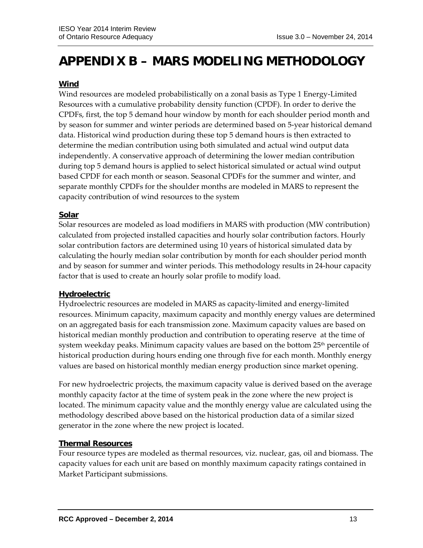### **APPENDIX B – MARS MODELING METHODOLOGY**

#### **Wind**

Wind resources are modeled probabilistically on a zonal basis as Type 1 Energy-Limited Resources with a cumulative probability density function (CPDF). In order to derive the CPDFs, first, the top 5 demand hour window by month for each shoulder period month and by season for summer and winter periods are determined based on 5-year historical demand data. Historical wind production during these top 5 demand hours is then extracted to determine the median contribution using both simulated and actual wind output data independently. A conservative approach of determining the lower median contribution during top 5 demand hours is applied to select historical simulated or actual wind output based CPDF for each month or season. Seasonal CPDFs for the summer and winter, and separate monthly CPDFs for the shoulder months are modeled in MARS to represent the capacity contribution of wind resources to the system

#### **Solar**

Solar resources are modeled as load modifiers in MARS with production (MW contribution) calculated from projected installed capacities and hourly solar contribution factors. Hourly solar contribution factors are determined using 10 years of historical simulated data by calculating the hourly median solar contribution by month for each shoulder period month and by season for summer and winter periods. This methodology results in 24-hour capacity factor that is used to create an hourly solar profile to modify load.

#### **Hydroelectric**

Hydroelectric resources are modeled in MARS as capacity-limited and energy-limited resources. Minimum capacity, maximum capacity and monthly energy values are determined on an aggregated basis for each transmission zone. Maximum capacity values are based on historical median monthly production and contribution to operating reserve at the time of system weekday peaks. Minimum capacity values are based on the bottom 25<sup>th</sup> percentile of historical production during hours ending one through five for each month. Monthly energy values are based on historical monthly median energy production since market opening.

For new hydroelectric projects, the maximum capacity value is derived based on the average monthly capacity factor at the time of system peak in the zone where the new project is located. The minimum capacity value and the monthly energy value are calculated using the methodology described above based on the historical production data of a similar sized generator in the zone where the new project is located.

#### **Thermal Resources**

Four resource types are modeled as thermal resources, viz. nuclear, gas, oil and biomass. The capacity values for each unit are based on monthly maximum capacity ratings contained in Market Participant submissions.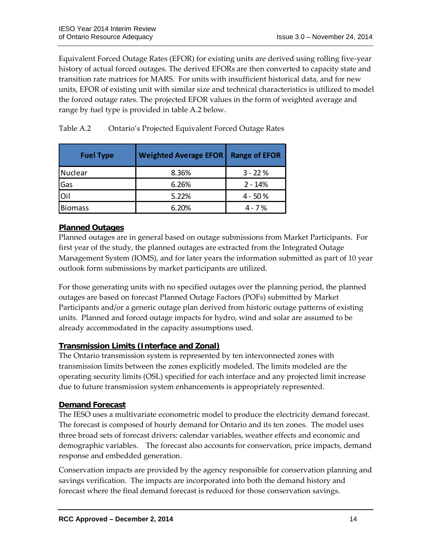Equivalent Forced Outage Rates (EFOR) for existing units are derived using rolling five-year history of actual forced outages. The derived EFORs are then converted to capacity state and transition rate matrices for MARS. For units with insufficient historical data, and for new units, EFOR of existing unit with similar size and technical characteristics is utilized to model the forced outage rates. The projected EFOR values in the form of weighted average and range by fuel type is provided in table A.2 below.

| <b>Fuel Type</b> | <b>Weighted Average EFOR</b> | <b>Range of EFOR</b> |
|------------------|------------------------------|----------------------|
| Nuclear          | 8.36%                        | $3 - 22%$            |
| Gas              | 6.26%                        | $2 - 14%$            |
| Oil              | 5.22%                        | $4 - 50%$            |
| <b>Biomass</b>   | 6.20%                        | $4 - 7%$             |

Table A.2 Ontario's Projected Equivalent Forced Outage Rates

#### **Planned Outages**

Planned outages are in general based on outage submissions from Market Participants. For first year of the study, the planned outages are extracted from the Integrated Outage Management System (IOMS), and for later years the information submitted as part of 10 year outlook form submissions by market participants are utilized.

For those generating units with no specified outages over the planning period, the planned outages are based on forecast Planned Outage Factors (POFs) submitted by Market Participants and/or a generic outage plan derived from historic outage patterns of existing units. Planned and forced outage impacts for hydro, wind and solar are assumed to be already accommodated in the capacity assumptions used.

#### **Transmission Limits (Interface and Zonal)**

The Ontario transmission system is represented by ten interconnected zones with transmission limits between the zones explicitly modeled. The limits modeled are the operating security limits (OSL) specified for each interface and any projected limit increase due to future transmission system enhancements is appropriately represented.

#### **Demand Forecast**

The IESO uses a multivariate econometric model to produce the electricity demand forecast. The forecast is composed of hourly demand for Ontario and its ten zones. The model uses three broad sets of forecast drivers: calendar variables, weather effects and economic and demographic variables. The forecast also accounts for conservation, price impacts, demand response and embedded generation.

Conservation impacts are provided by the agency responsible for conservation planning and savings verification. The impacts are incorporated into both the demand history and forecast where the final demand forecast is reduced for those conservation savings.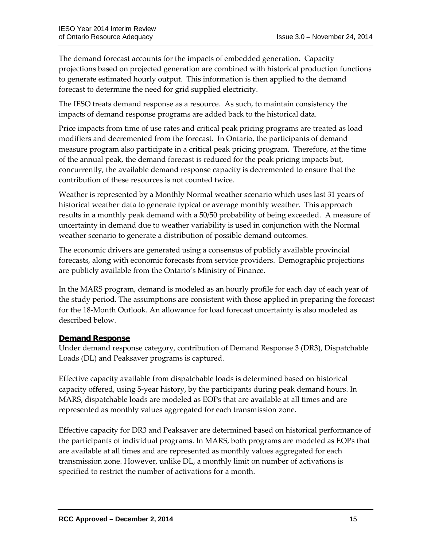The demand forecast accounts for the impacts of embedded generation. Capacity projections based on projected generation are combined with historical production functions to generate estimated hourly output. This information is then applied to the demand forecast to determine the need for grid supplied electricity.

The IESO treats demand response as a resource. As such, to maintain consistency the impacts of demand response programs are added back to the historical data.

Price impacts from time of use rates and critical peak pricing programs are treated as load modifiers and decremented from the forecast. In Ontario, the participants of demand measure program also participate in a critical peak pricing program. Therefore, at the time of the annual peak, the demand forecast is reduced for the peak pricing impacts but, concurrently, the available demand response capacity is decremented to ensure that the contribution of these resources is not counted twice.

Weather is represented by a Monthly Normal weather scenario which uses last 31 years of historical weather data to generate typical or average monthly weather. This approach results in a monthly peak demand with a 50/50 probability of being exceeded. A measure of uncertainty in demand due to weather variability is used in conjunction with the Normal weather scenario to generate a distribution of possible demand outcomes.

The economic drivers are generated using a consensus of publicly available provincial forecasts, along with economic forecasts from service providers. Demographic projections are publicly available from the Ontario's Ministry of Finance.

In the MARS program, demand is modeled as an hourly profile for each day of each year of the study period. The assumptions are consistent with those applied in preparing the forecast for the 18-Month Outlook. An allowance for load forecast uncertainty is also modeled as described below.

#### **Demand Response**

Under demand response category, contribution of Demand Response 3 (DR3), Dispatchable Loads (DL) and Peaksaver programs is captured.

Effective capacity available from dispatchable loads is determined based on historical capacity offered, using 5-year history, by the participants during peak demand hours. In MARS, dispatchable loads are modeled as EOPs that are available at all times and are represented as monthly values aggregated for each transmission zone.

Effective capacity for DR3 and Peaksaver are determined based on historical performance of the participants of individual programs. In MARS, both programs are modeled as EOPs that are available at all times and are represented as monthly values aggregated for each transmission zone. However, unlike DL, a monthly limit on number of activations is specified to restrict the number of activations for a month.